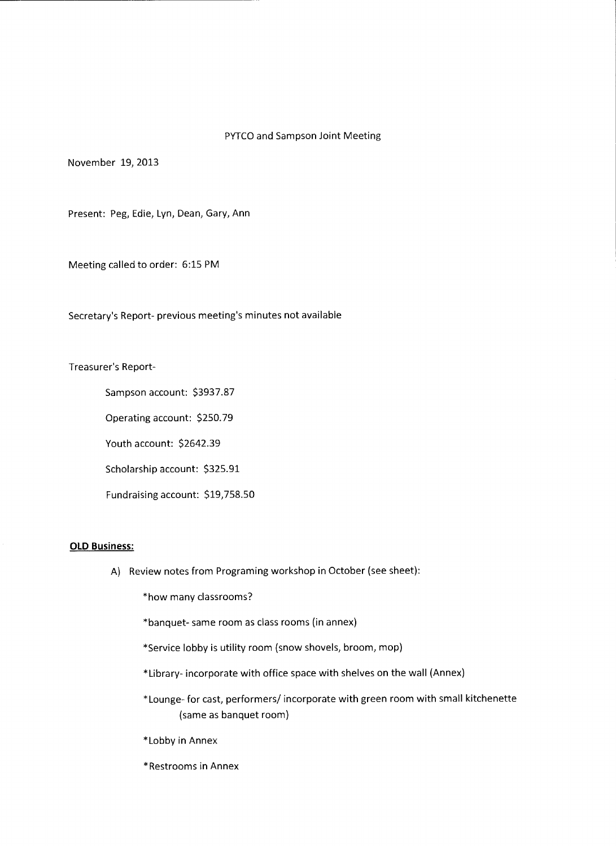## PYTCO and Sampson Joint Meeting

November 19, 2013

Present: Peg, Edie, Lyn, Dean, Gary, Ann

Meeting called to order: 6:15 PM

Secretary's Report- previous meeting's minutes not available

Treasurer's Report-

Sampson account: \$3937.87

Operating account: \$250. 79

Youth account: \$2642.39

Scholarship account: \$325.91

Fundraising account: \$19,758.50

## **OLD Business:**

A) Review notes from Programing workshop in October (see sheet):

\*how many classrooms?

\*banquet- same room as class rooms (in annex)

- \*Service lobby is utility room (snow shovels, broom, mop)
- \*Library- incorporate with office space with shelves on the wall (Annex)
- \*Lounge-for cast, performers/ incorporate with green room with small kitchenette (same as banquet room)
- \*Lobby in Annex
- \*Restrooms in Annex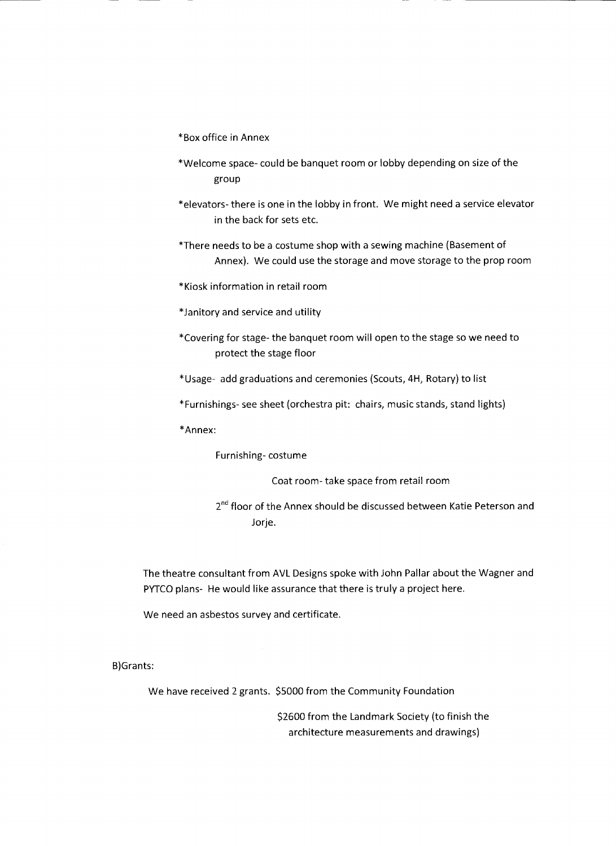- \*Box office in Annex
- \*Welcome space- could be banquet room or lobby depending on size of the group
- \*elevators- there is one in the lobby in front. We might need a service elevator in the back for sets etc.
- \*There needs to be a costume shop with a sewing machine (Basement of Annex). We could use the storage and move storage to the prop room
- \*Kiosk information in retail room
- \* Janitory and service and utility
- \*Covering for stage- the banquet room will open to the stage so we need to protect the stage floor
- \*Usage- add graduations and ceremonies (Scouts, 4H, Rotary) to list
- \*Furnishings- see sheet (orchestra pit: chairs, music stands, stand lights)

\*Annex:

Furnishing- costume

Coat room- take space from retail room

2<sup>nd</sup> floor of the Annex should be discussed between Katie Peterson and Jorje.

The theatre consultant from AVL Designs spoke with John Pallar about the Wagner and PYTCO plans- He would like assurance that there is truly a project here.

We need an asbestos survey and certificate.

B)Grants:

We have received 2 grants. \$5000 from the Community Foundation

\$2600 from the Landmark Society (to finish the architecture measurements and drawings)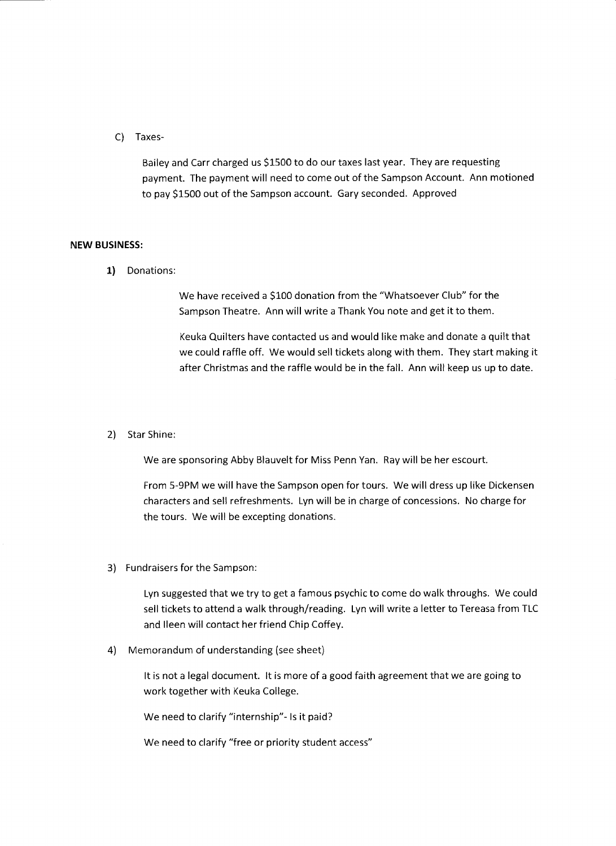C) Taxes-

Bailey and Carr charged us \$1500 to do our taxes last year. They are requesting payment. The payment will need to come out of the Sampson Account. Ann motioned to pay \$1500 out of the Sampson account. Gary seconded. Approved

## **NEW BUSINESS:**

**1)** Donations:

We have received a \$100 donation from the "Whatsoever Club" for the Sampson Theatre. Ann will write a Thank You note and get it to them.

Keuka Quilters have contacted us and would like make and donate a quilt that we could raffle off. We would sell tickets along with them. They start making it after Christmas and the raffle would be in the fall. Ann will keep us up to date.

## 2) Star Shine:

We are sponsoring Abby Blauvelt for Miss Penn Yan. Ray will be her escourt.

From 5-9PM we will have the Sampson open for tours. We will dress up like Dickensen characters and sell refreshments. Lyn will be in charge of concessions. No charge for the tours. We will be excepting donations.

3) Fundraisers for the Sampson:

Lyn suggested that we try to get a famous psychic to come do walk throughs. We could sell tickets to attend a walk through/reading. Lyn will write a letter to Tereasa from TLC and Ileen will contact her friend Chip Coffey.

4) Memorandum of understanding (see sheet)

It is not a legal document. It is more of a good faith agreement that we are going to work together with Keuka College.

We need to clarify "internship"- ls it paid?

We need to clarify "free or priority student access"